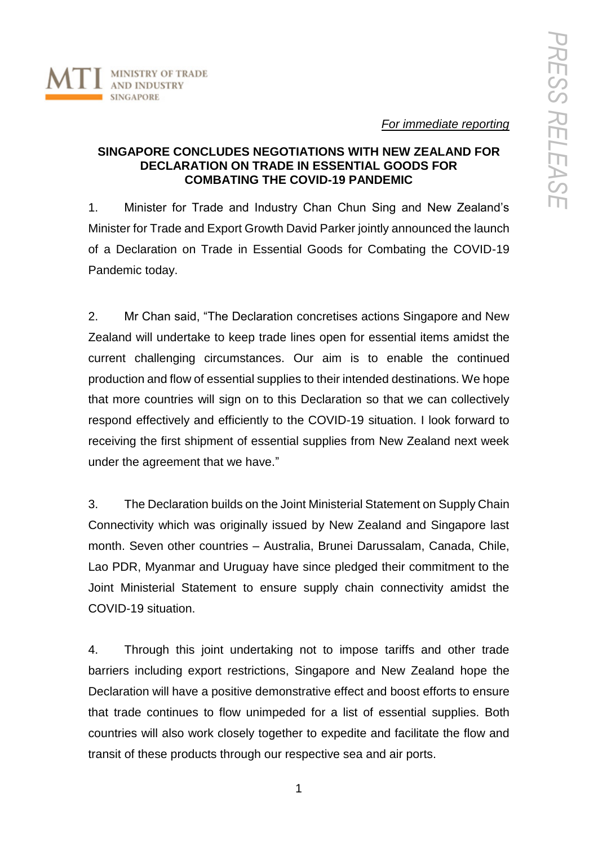

*For immediate reporting*

# **SINGAPORE CONCLUDES NEGOTIATIONS WITH NEW ZEALAND FOR DECLARATION ON TRADE IN ESSENTIAL GOODS FOR COMBATING THE COVID-19 PANDEMIC**

1. Minister for Trade and Industry Chan Chun Sing and New Zealand's Minister for Trade and Export Growth David Parker jointly announced the launch of a Declaration on Trade in Essential Goods for Combating the COVID-19 Pandemic today.

2. Mr Chan said, "The Declaration concretises actions Singapore and New Zealand will undertake to keep trade lines open for essential items amidst the current challenging circumstances. Our aim is to enable the continued production and flow of essential supplies to their intended destinations. We hope that more countries will sign on to this Declaration so that we can collectively respond effectively and efficiently to the COVID-19 situation. I look forward to receiving the first shipment of essential supplies from New Zealand next week under the agreement that we have."

3. The Declaration builds on the Joint Ministerial Statement on Supply Chain Connectivity which was originally issued by New Zealand and Singapore last month. Seven other countries – Australia, Brunei Darussalam, Canada, Chile, Lao PDR, Myanmar and Uruguay have since pledged their commitment to the Joint Ministerial Statement to ensure supply chain connectivity amidst the COVID-19 situation.

4. Through this joint undertaking not to impose tariffs and other trade barriers including export restrictions, Singapore and New Zealand hope the Declaration will have a positive demonstrative effect and boost efforts to ensure that trade continues to flow unimpeded for a list of essential supplies. Both countries will also work closely together to expedite and facilitate the flow and transit of these products through our respective sea and air ports.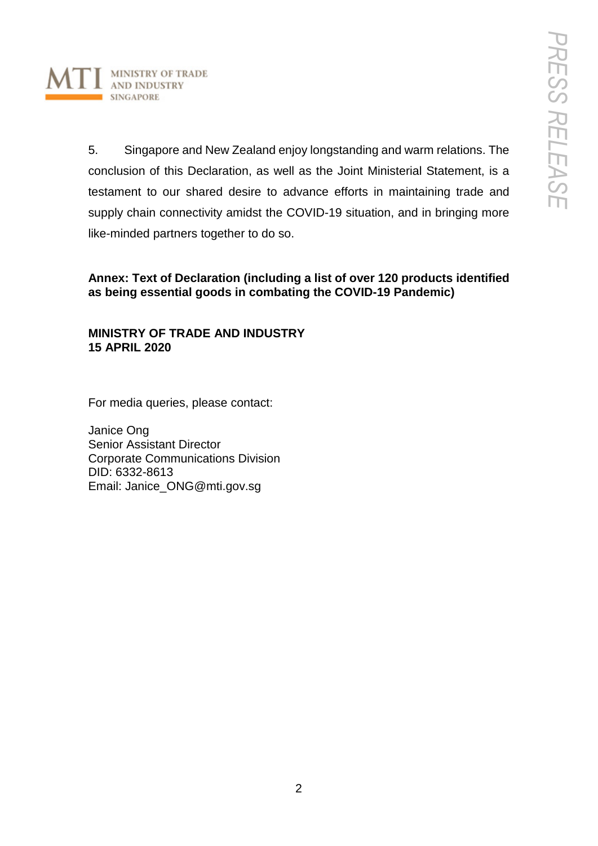

5. Singapore and New Zealand enjoy longstanding and warm relations. The conclusion of this Declaration, as well as the Joint Ministerial Statement, is a testament to our shared desire to advance efforts in maintaining trade and supply chain connectivity amidst the COVID-19 situation, and in bringing more like-minded partners together to do so.

**Annex: Text of Declaration (including a list of over 120 products identified as being essential goods in combating the COVID-19 Pandemic)**

# **MINISTRY OF TRADE AND INDUSTRY 15 APRIL 2020**

For media queries, please contact:

Janice Ong Senior Assistant Director Corporate Communications Division DID: 6332-8613 Email: Janice\_ONG@mti.gov.sg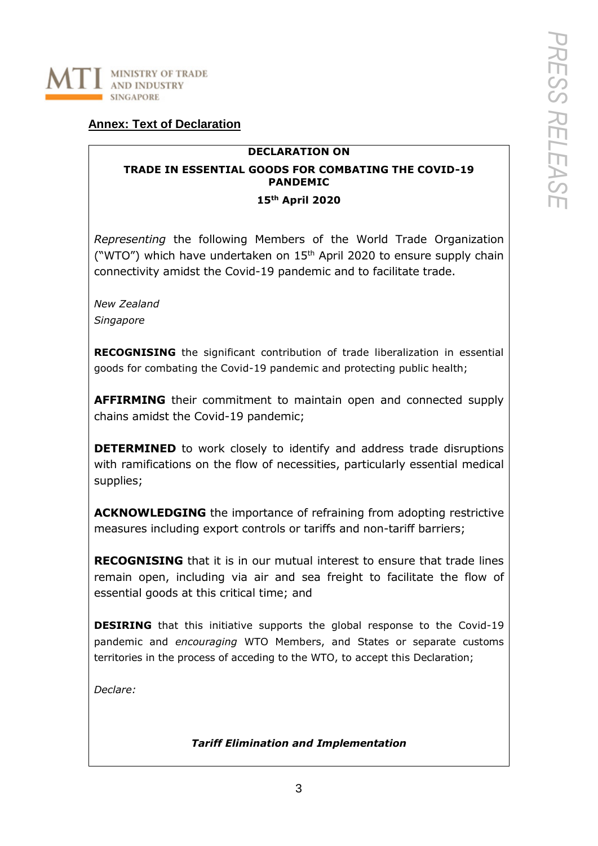

# **Annex: Text of Declaration**

## **DECLARATION ON**

# **TRADE IN ESSENTIAL GOODS FOR COMBATING THE COVID-19 PANDEMIC**

### **15th April 2020**

*Representing* the following Members of the World Trade Organization ("WTO") which have undertaken on 15<sup>th</sup> April 2020 to ensure supply chain connectivity amidst the Covid-19 pandemic and to facilitate trade.

*New Zealand Singapore*

**RECOGNISING** the significant contribution of trade liberalization in essential goods for combating the Covid-19 pandemic and protecting public health;

**AFFIRMING** their commitment to maintain open and connected supply chains amidst the Covid-19 pandemic;

**DETERMINED** to work closely to identify and address trade disruptions with ramifications on the flow of necessities, particularly essential medical supplies;

**ACKNOWLEDGING** the importance of refraining from adopting restrictive measures including export controls or tariffs and non-tariff barriers;

**RECOGNISING** that it is in our mutual interest to ensure that trade lines remain open, including via air and sea freight to facilitate the flow of essential goods at this critical time; and

**DESIRING** that this initiative supports the global response to the Covid-19 pandemic and *encouraging* WTO Members, and States or separate customs territories in the process of acceding to the WTO, to accept this Declaration;

*Declare:*

## *Tariff Elimination and Implementation*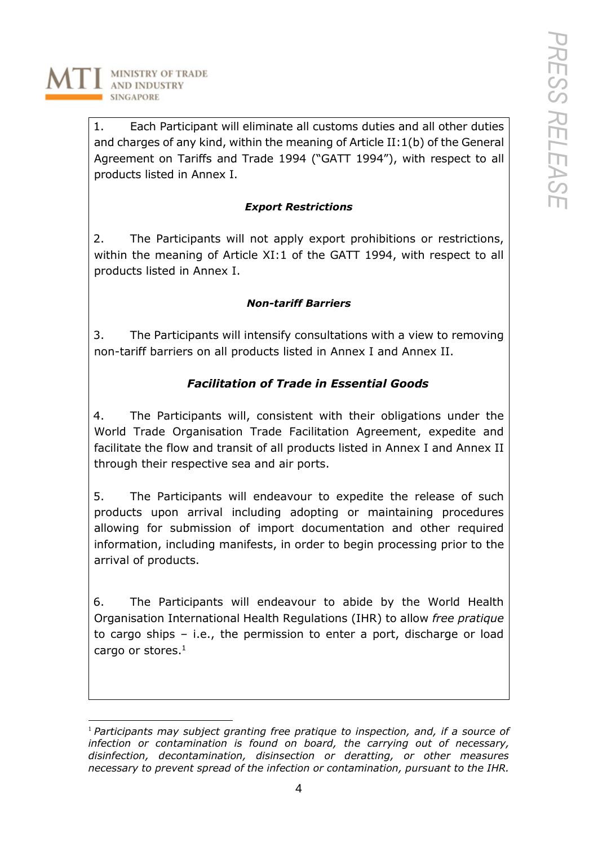**MINISTRY OF TRADE AND INDUSTRY SINGAPORE** 

> 1. Each Participant will eliminate all customs duties and all other duties and charges of any kind, within the meaning of Article II:1(b) of the General Agreement on Tariffs and Trade 1994 ("GATT 1994"), with respect to all products listed in Annex I.

# *Export Restrictions*

2. The Participants will not apply export prohibitions or restrictions, within the meaning of Article XI:1 of the GATT 1994, with respect to all products listed in Annex I.

# *Non-tariff Barriers*

3. The Participants will intensify consultations with a view to removing non-tariff barriers on all products listed in Annex I and Annex II.

# *Facilitation of Trade in Essential Goods*

4. The Participants will, consistent with their obligations under the World Trade Organisation Trade Facilitation Agreement, expedite and facilitate the flow and transit of all products listed in Annex I and Annex II through their respective sea and air ports.

5. The Participants will endeavour to expedite the release of such products upon arrival including adopting or maintaining procedures allowing for submission of import documentation and other required information, including manifests, in order to begin processing prior to the arrival of products.

6. The Participants will endeavour to abide by the World Health Organisation International Health Regulations (IHR) to allow *free pratique* to cargo ships – i.e., the permission to enter a port, discharge or load cargo or stores. $1$ 

 $\overline{a}$ <sup>1</sup> *Participants may subject granting free pratique to inspection, and, if a source of infection or contamination is found on board, the carrying out of necessary, disinfection, decontamination, disinsection or deratting, or other measures necessary to prevent spread of the infection or contamination, pursuant to the IHR.*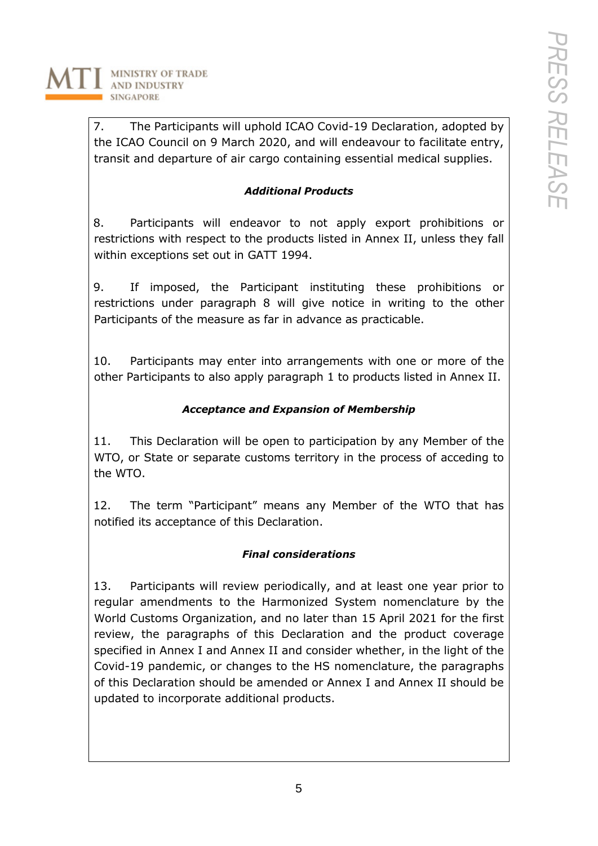

7. The Participants will uphold ICAO Covid-19 Declaration, adopted by the ICAO Council on 9 March 2020, and will endeavour to facilitate entry, transit and departure of air cargo containing essential medical supplies.

# *Additional Products*

8. Participants will endeavor to not apply export prohibitions or restrictions with respect to the products listed in Annex II, unless they fall within exceptions set out in GATT 1994.

9. If imposed, the Participant instituting these prohibitions or restrictions under paragraph 8 will give notice in writing to the other Participants of the measure as far in advance as practicable.

10. Participants may enter into arrangements with one or more of the other Participants to also apply paragraph 1 to products listed in Annex II.

# *Acceptance and Expansion of Membership*

11. This Declaration will be open to participation by any Member of the WTO, or State or separate customs territory in the process of acceding to the WTO.

12. The term "Participant" means any Member of the WTO that has notified its acceptance of this Declaration.

# *Final considerations*

13. Participants will review periodically, and at least one year prior to regular amendments to the Harmonized System nomenclature by the World Customs Organization, and no later than 15 April 2021 for the first review, the paragraphs of this Declaration and the product coverage specified in Annex I and Annex II and consider whether, in the light of the Covid-19 pandemic, or changes to the HS nomenclature, the paragraphs of this Declaration should be amended or Annex I and Annex II should be updated to incorporate additional products.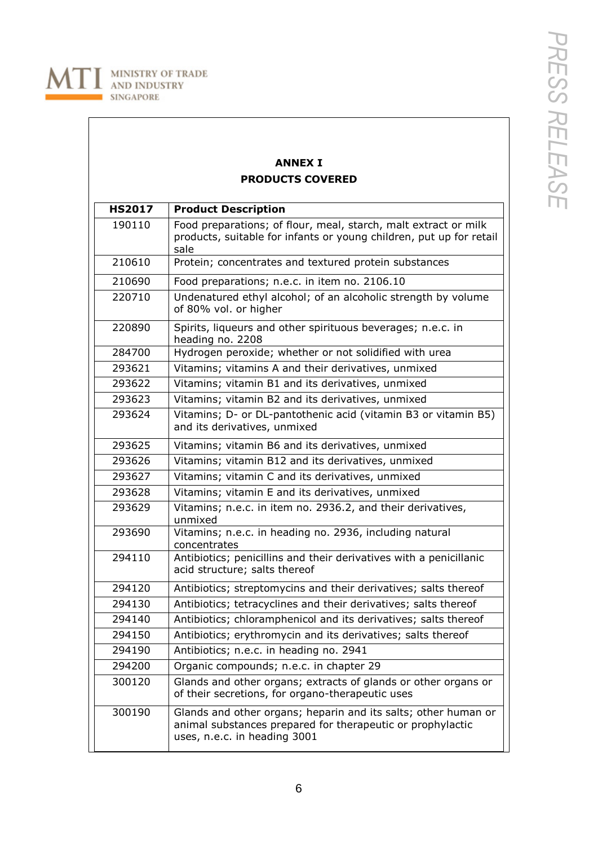

# **ANNEX I PRODUCTS COVERED**

| <b>HS2017</b> | <b>Product Description</b>                                                                                                                                   |
|---------------|--------------------------------------------------------------------------------------------------------------------------------------------------------------|
| 190110        | Food preparations; of flour, meal, starch, malt extract or milk<br>products, suitable for infants or young children, put up for retail<br>sale               |
| 210610        | Protein; concentrates and textured protein substances                                                                                                        |
| 210690        | Food preparations; n.e.c. in item no. 2106.10                                                                                                                |
| 220710        | Undenatured ethyl alcohol; of an alcoholic strength by volume<br>of 80% vol. or higher                                                                       |
| 220890        | Spirits, liqueurs and other spirituous beverages; n.e.c. in<br>heading no. 2208                                                                              |
| 284700        | Hydrogen peroxide; whether or not solidified with urea                                                                                                       |
| 293621        | Vitamins; vitamins A and their derivatives, unmixed                                                                                                          |
| 293622        | Vitamins; vitamin B1 and its derivatives, unmixed                                                                                                            |
| 293623        | Vitamins; vitamin B2 and its derivatives, unmixed                                                                                                            |
| 293624        | Vitamins; D- or DL-pantothenic acid (vitamin B3 or vitamin B5)<br>and its derivatives, unmixed                                                               |
| 293625        | Vitamins; vitamin B6 and its derivatives, unmixed                                                                                                            |
| 293626        | Vitamins; vitamin B12 and its derivatives, unmixed                                                                                                           |
| 293627        | Vitamins; vitamin C and its derivatives, unmixed                                                                                                             |
| 293628        | Vitamins; vitamin E and its derivatives, unmixed                                                                                                             |
| 293629        | Vitamins; n.e.c. in item no. 2936.2, and their derivatives,<br>unmixed                                                                                       |
| 293690        | Vitamins; n.e.c. in heading no. 2936, including natural<br>concentrates                                                                                      |
| 294110        | Antibiotics; penicillins and their derivatives with a penicillanic<br>acid structure; salts thereof                                                          |
| 294120        | Antibiotics; streptomycins and their derivatives; salts thereof                                                                                              |
| 294130        | Antibiotics; tetracyclines and their derivatives; salts thereof                                                                                              |
| 294140        | Antibiotics; chloramphenicol and its derivatives; salts thereof                                                                                              |
| 294150        | Antibiotics; erythromycin and its derivatives; salts thereof                                                                                                 |
| 294190        | Antibiotics; n.e.c. in heading no. 2941                                                                                                                      |
| 294200        | Organic compounds; n.e.c. in chapter 29                                                                                                                      |
| 300120        | Glands and other organs; extracts of glands or other organs or<br>of their secretions, for organo-therapeutic uses                                           |
| 300190        | Glands and other organs; heparin and its salts; other human or<br>animal substances prepared for therapeutic or prophylactic<br>uses, n.e.c. in heading 3001 |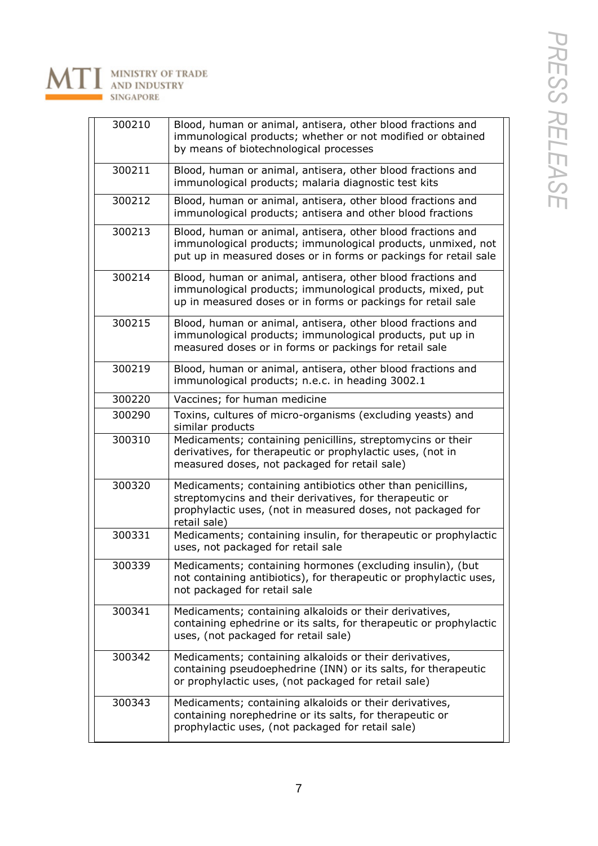

| 300210 | Blood, human or animal, antisera, other blood fractions and<br>immunological products; whether or not modified or obtained<br>by means of biotechnological processes                                  |
|--------|-------------------------------------------------------------------------------------------------------------------------------------------------------------------------------------------------------|
| 300211 | Blood, human or animal, antisera, other blood fractions and<br>immunological products; malaria diagnostic test kits                                                                                   |
| 300212 | Blood, human or animal, antisera, other blood fractions and<br>immunological products; antisera and other blood fractions                                                                             |
| 300213 | Blood, human or animal, antisera, other blood fractions and<br>immunological products; immunological products, unmixed, not<br>put up in measured doses or in forms or packings for retail sale       |
| 300214 | Blood, human or animal, antisera, other blood fractions and<br>immunological products; immunological products, mixed, put<br>up in measured doses or in forms or packings for retail sale             |
| 300215 | Blood, human or animal, antisera, other blood fractions and<br>immunological products; immunological products, put up in<br>measured doses or in forms or packings for retail sale                    |
| 300219 | Blood, human or animal, antisera, other blood fractions and<br>immunological products; n.e.c. in heading 3002.1                                                                                       |
| 300220 | Vaccines; for human medicine                                                                                                                                                                          |
| 300290 | Toxins, cultures of micro-organisms (excluding yeasts) and<br>similar products                                                                                                                        |
| 300310 | Medicaments; containing penicillins, streptomycins or their<br>derivatives, for therapeutic or prophylactic uses, (not in<br>measured doses, not packaged for retail sale)                            |
| 300320 | Medicaments; containing antibiotics other than penicillins,<br>streptomycins and their derivatives, for therapeutic or<br>prophylactic uses, (not in measured doses, not packaged for<br>retail sale) |
| 300331 | Medicaments; containing insulin, for therapeutic or prophylactic<br>uses, not packaged for retail sale                                                                                                |
| 300339 | Medicaments; containing hormones (excluding insulin), (but<br>not containing antibiotics), for therapeutic or prophylactic uses,<br>not packaged for retail sale                                      |
| 300341 | Medicaments; containing alkaloids or their derivatives,<br>containing ephedrine or its salts, for therapeutic or prophylactic<br>uses, (not packaged for retail sale)                                 |
| 300342 | Medicaments; containing alkaloids or their derivatives,<br>containing pseudoephedrine (INN) or its salts, for therapeutic<br>or prophylactic uses, (not packaged for retail sale)                     |
| 300343 | Medicaments; containing alkaloids or their derivatives,<br>containing norephedrine or its salts, for therapeutic or<br>prophylactic uses, (not packaged for retail sale)                              |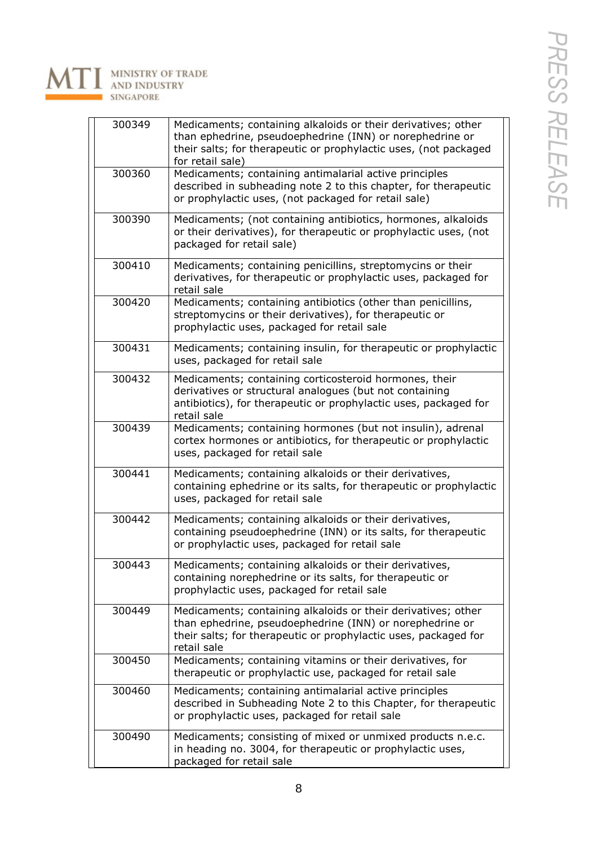

MINISTRY OF TRADE<br>AND INDUSTRY **SINGAPORE** 

A

| 300349 | Medicaments; containing alkaloids or their derivatives; other<br>than ephedrine, pseudoephedrine (INN) or norephedrine or<br>their salts; for therapeutic or prophylactic uses, (not packaged<br>for retail sale) |
|--------|-------------------------------------------------------------------------------------------------------------------------------------------------------------------------------------------------------------------|
| 300360 | Medicaments; containing antimalarial active principles<br>described in subheading note 2 to this chapter, for therapeutic<br>or prophylactic uses, (not packaged for retail sale)                                 |
| 300390 | Medicaments; (not containing antibiotics, hormones, alkaloids<br>or their derivatives), for therapeutic or prophylactic uses, (not<br>packaged for retail sale)                                                   |
| 300410 | Medicaments; containing penicillins, streptomycins or their<br>derivatives, for therapeutic or prophylactic uses, packaged for<br>retail sale                                                                     |
| 300420 | Medicaments; containing antibiotics (other than penicillins,<br>streptomycins or their derivatives), for therapeutic or<br>prophylactic uses, packaged for retail sale                                            |
| 300431 | Medicaments; containing insulin, for therapeutic or prophylactic<br>uses, packaged for retail sale                                                                                                                |
| 300432 | Medicaments; containing corticosteroid hormones, their<br>derivatives or structural analogues (but not containing<br>antibiotics), for therapeutic or prophylactic uses, packaged for<br>retail sale              |
| 300439 | Medicaments; containing hormones (but not insulin), adrenal<br>cortex hormones or antibiotics, for therapeutic or prophylactic<br>uses, packaged for retail sale                                                  |
| 300441 | Medicaments; containing alkaloids or their derivatives,<br>containing ephedrine or its salts, for therapeutic or prophylactic<br>uses, packaged for retail sale                                                   |
| 300442 | Medicaments; containing alkaloids or their derivatives,<br>containing pseudoephedrine (INN) or its salts, for therapeutic<br>or prophylactic uses, packaged for retail sale                                       |
| 300443 | Medicaments; containing alkaloids or their derivatives,<br>containing norephedrine or its salts, for therapeutic or<br>prophylactic uses, packaged for retail sale                                                |
| 300449 | Medicaments; containing alkaloids or their derivatives; other<br>than ephedrine, pseudoephedrine (INN) or norephedrine or<br>their salts; for therapeutic or prophylactic uses, packaged for<br>retail sale       |
| 300450 | Medicaments; containing vitamins or their derivatives, for<br>therapeutic or prophylactic use, packaged for retail sale                                                                                           |
| 300460 | Medicaments; containing antimalarial active principles<br>described in Subheading Note 2 to this Chapter, for therapeutic<br>or prophylactic uses, packaged for retail sale                                       |
| 300490 | Medicaments; consisting of mixed or unmixed products n.e.c.<br>in heading no. 3004, for therapeutic or prophylactic uses,<br>packaged for retail sale                                                             |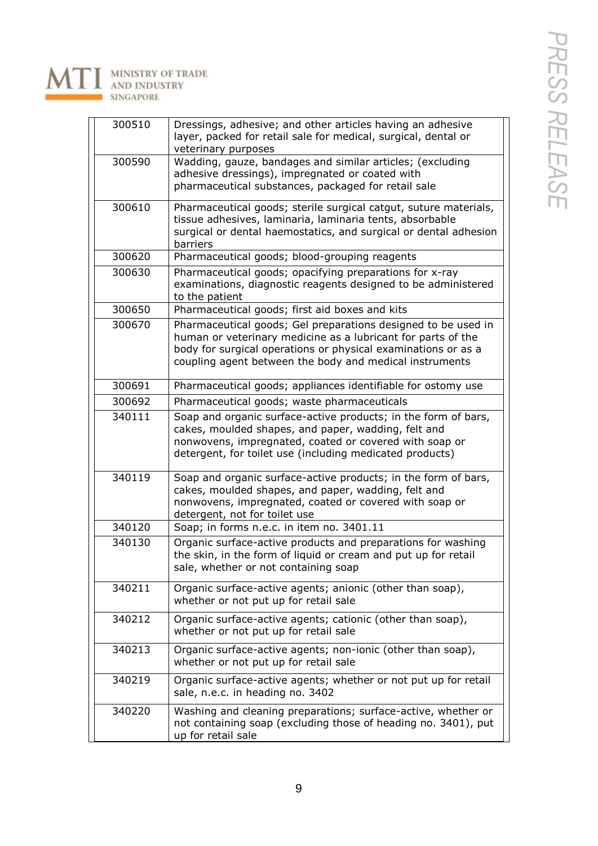

| 300510 | Dressings, adhesive; and other articles having an adhesive<br>layer, packed for retail sale for medical, surgical, dental or<br>veterinary purposes                                                                                                       |
|--------|-----------------------------------------------------------------------------------------------------------------------------------------------------------------------------------------------------------------------------------------------------------|
| 300590 | Wadding, gauze, bandages and similar articles; (excluding<br>adhesive dressings), impregnated or coated with<br>pharmaceutical substances, packaged for retail sale                                                                                       |
| 300610 | Pharmaceutical goods; sterile surgical catgut, suture materials,<br>tissue adhesives, laminaria, laminaria tents, absorbable<br>surgical or dental haemostatics, and surgical or dental adhesion<br>barriers                                              |
| 300620 | Pharmaceutical goods; blood-grouping reagents                                                                                                                                                                                                             |
| 300630 | Pharmaceutical goods; opacifying preparations for x-ray<br>examinations, diagnostic reagents designed to be administered<br>to the patient                                                                                                                |
| 300650 | Pharmaceutical goods; first aid boxes and kits                                                                                                                                                                                                            |
| 300670 | Pharmaceutical goods; Gel preparations designed to be used in<br>human or veterinary medicine as a lubricant for parts of the<br>body for surgical operations or physical examinations or as a<br>coupling agent between the body and medical instruments |
| 300691 | Pharmaceutical goods; appliances identifiable for ostomy use                                                                                                                                                                                              |
| 300692 | Pharmaceutical goods; waste pharmaceuticals                                                                                                                                                                                                               |
| 340111 | Soap and organic surface-active products; in the form of bars,<br>cakes, moulded shapes, and paper, wadding, felt and<br>nonwovens, impregnated, coated or covered with soap or<br>detergent, for toilet use (including medicated products)               |
| 340119 | Soap and organic surface-active products; in the form of bars,<br>cakes, moulded shapes, and paper, wadding, felt and<br>nonwovens, impregnated, coated or covered with soap or<br>detergent, not for toilet use                                          |
| 340120 | Soap; in forms n.e.c. in item no. 3401.11                                                                                                                                                                                                                 |
| 340130 | Organic surface-active products and preparations for washing<br>the skin, in the form of liquid or cream and put up for retail<br>sale, whether or not containing soap                                                                                    |
| 340211 | Organic surface-active agents; anionic (other than soap),<br>whether or not put up for retail sale                                                                                                                                                        |
| 340212 | Organic surface-active agents; cationic (other than soap),<br>whether or not put up for retail sale                                                                                                                                                       |
| 340213 | Organic surface-active agents; non-ionic (other than soap),<br>whether or not put up for retail sale                                                                                                                                                      |
| 340219 | Organic surface-active agents; whether or not put up for retail<br>sale, n.e.c. in heading no. 3402                                                                                                                                                       |
| 340220 | Washing and cleaning preparations; surface-active, whether or<br>not containing soap (excluding those of heading no. 3401), put<br>up for retail sale                                                                                                     |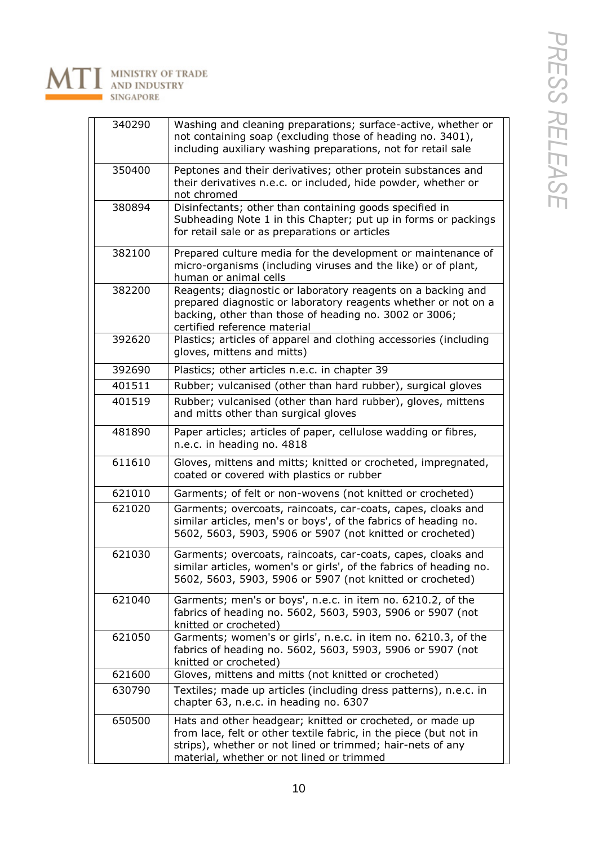

| 340290 | Washing and cleaning preparations; surface-active, whether or<br>not containing soap (excluding those of heading no. 3401),<br>including auxiliary washing preparations, not for retail sale                                              |
|--------|-------------------------------------------------------------------------------------------------------------------------------------------------------------------------------------------------------------------------------------------|
| 350400 | Peptones and their derivatives; other protein substances and<br>their derivatives n.e.c. or included, hide powder, whether or<br>not chromed                                                                                              |
| 380894 | Disinfectants; other than containing goods specified in<br>Subheading Note 1 in this Chapter; put up in forms or packings<br>for retail sale or as preparations or articles                                                               |
| 382100 | Prepared culture media for the development or maintenance of<br>micro-organisms (including viruses and the like) or of plant,<br>human or animal cells                                                                                    |
| 382200 | Reagents; diagnostic or laboratory reagents on a backing and<br>prepared diagnostic or laboratory reagents whether or not on a<br>backing, other than those of heading no. 3002 or 3006;<br>certified reference material                  |
| 392620 | Plastics; articles of apparel and clothing accessories (including<br>gloves, mittens and mitts)                                                                                                                                           |
| 392690 | Plastics; other articles n.e.c. in chapter 39                                                                                                                                                                                             |
| 401511 | Rubber; vulcanised (other than hard rubber), surgical gloves                                                                                                                                                                              |
| 401519 | Rubber; vulcanised (other than hard rubber), gloves, mittens<br>and mitts other than surgical gloves                                                                                                                                      |
| 481890 | Paper articles; articles of paper, cellulose wadding or fibres,<br>n.e.c. in heading no. 4818                                                                                                                                             |
| 611610 | Gloves, mittens and mitts; knitted or crocheted, impregnated,<br>coated or covered with plastics or rubber                                                                                                                                |
| 621010 | Garments; of felt or non-wovens (not knitted or crocheted)                                                                                                                                                                                |
| 621020 | Garments; overcoats, raincoats, car-coats, capes, cloaks and<br>similar articles, men's or boys', of the fabrics of heading no.<br>5602, 5603, 5903, 5906 or 5907 (not knitted or crocheted)                                              |
| 621030 | Garments; overcoats, raincoats, car-coats, capes, cloaks and<br>similar articles, women's or girls', of the fabrics of heading no<br>5602, 5603, 5903, 5906 or 5907 (not knitted or crocheted)                                            |
| 621040 | Garments; men's or boys', n.e.c. in item no. 6210.2, of the<br>fabrics of heading no. 5602, 5603, 5903, 5906 or 5907 (not<br>knitted or crocheted)                                                                                        |
| 621050 | Garments; women's or girls', n.e.c. in item no. 6210.3, of the<br>fabrics of heading no. 5602, 5603, 5903, 5906 or 5907 (not<br>knitted or crocheted)                                                                                     |
| 621600 | Gloves, mittens and mitts (not knitted or crocheted)                                                                                                                                                                                      |
| 630790 | Textiles; made up articles (including dress patterns), n.e.c. in<br>chapter 63, n.e.c. in heading no. 6307                                                                                                                                |
| 650500 | Hats and other headgear; knitted or crocheted, or made up<br>from lace, felt or other textile fabric, in the piece (but not in<br>strips), whether or not lined or trimmed; hair-nets of any<br>material, whether or not lined or trimmed |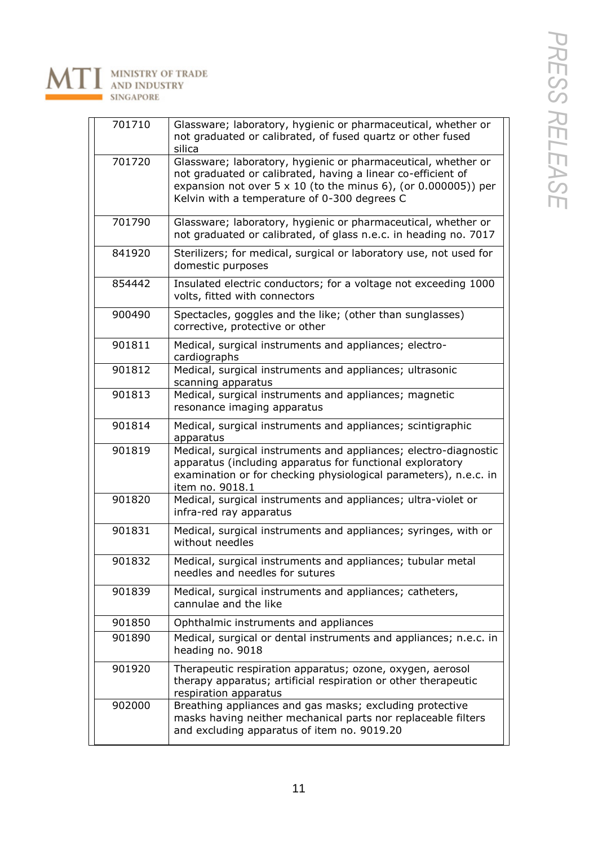

| 701710 | Glassware; laboratory, hygienic or pharmaceutical, whether or                                                                                                                                                                                          |
|--------|--------------------------------------------------------------------------------------------------------------------------------------------------------------------------------------------------------------------------------------------------------|
|        | not graduated or calibrated, of fused quartz or other fused<br>silica                                                                                                                                                                                  |
| 701720 | Glassware; laboratory, hygienic or pharmaceutical, whether or<br>not graduated or calibrated, having a linear co-efficient of<br>expansion not over $5 \times 10$ (to the minus 6), (or 0.000005)) per<br>Kelvin with a temperature of 0-300 degrees C |
| 701790 | Glassware; laboratory, hygienic or pharmaceutical, whether or<br>not graduated or calibrated, of glass n.e.c. in heading no. 7017                                                                                                                      |
| 841920 | Sterilizers; for medical, surgical or laboratory use, not used for<br>domestic purposes                                                                                                                                                                |
| 854442 | Insulated electric conductors; for a voltage not exceeding 1000<br>volts, fitted with connectors                                                                                                                                                       |
| 900490 | Spectacles, goggles and the like; (other than sunglasses)<br>corrective, protective or other                                                                                                                                                           |
| 901811 | Medical, surgical instruments and appliances; electro-<br>cardiographs                                                                                                                                                                                 |
| 901812 | Medical, surgical instruments and appliances; ultrasonic<br>scanning apparatus                                                                                                                                                                         |
| 901813 | Medical, surgical instruments and appliances; magnetic<br>resonance imaging apparatus                                                                                                                                                                  |
| 901814 | Medical, surgical instruments and appliances; scintigraphic<br>apparatus                                                                                                                                                                               |
| 901819 | Medical, surgical instruments and appliances; electro-diagnostic<br>apparatus (including apparatus for functional exploratory<br>examination or for checking physiological parameters), n.e.c. in<br>item no. 9018.1                                   |
| 901820 | Medical, surgical instruments and appliances; ultra-violet or<br>infra-red ray apparatus                                                                                                                                                               |
| 901831 | Medical, surgical instruments and appliances; syringes, with or<br>without needles                                                                                                                                                                     |
| 901832 | Medical, surgical instruments and appliances; tubular metal<br>needles and needles for sutures                                                                                                                                                         |
| 901839 | Medical, surgical instruments and appliances; catheters,<br>cannulae and the like                                                                                                                                                                      |
| 901850 | Ophthalmic instruments and appliances                                                                                                                                                                                                                  |
| 901890 | Medical, surgical or dental instruments and appliances; n.e.c. in<br>heading no. 9018                                                                                                                                                                  |
| 901920 | Therapeutic respiration apparatus; ozone, oxygen, aerosol<br>therapy apparatus; artificial respiration or other therapeutic<br>respiration apparatus                                                                                                   |
| 902000 | Breathing appliances and gas masks; excluding protective<br>masks having neither mechanical parts nor replaceable filters<br>and excluding apparatus of item no. 9019.20                                                                               |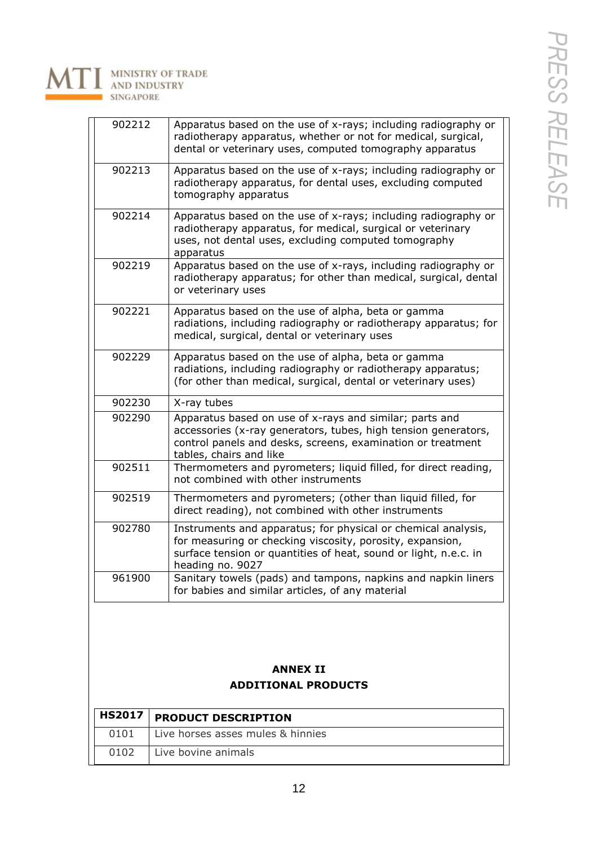

| 902212                     | Apparatus based on the use of x-rays; including radiography or                                                                |
|----------------------------|-------------------------------------------------------------------------------------------------------------------------------|
|                            | radiotherapy apparatus, whether or not for medical, surgical,                                                                 |
|                            | dental or veterinary uses, computed tomography apparatus                                                                      |
| 902213                     | Apparatus based on the use of x-rays; including radiography or                                                                |
|                            | radiotherapy apparatus, for dental uses, excluding computed<br>tomography apparatus                                           |
| 902214                     | Apparatus based on the use of x-rays; including radiography or                                                                |
|                            | radiotherapy apparatus, for medical, surgical or veterinary                                                                   |
|                            | uses, not dental uses, excluding computed tomography<br>apparatus                                                             |
| 902219                     | Apparatus based on the use of x-rays, including radiography or                                                                |
|                            | radiotherapy apparatus; for other than medical, surgical, dental<br>or veterinary uses                                        |
| 902221                     | Apparatus based on the use of alpha, beta or gamma                                                                            |
|                            | radiations, including radiography or radiotherapy apparatus; for<br>medical, surgical, dental or veterinary uses              |
| 902229                     | Apparatus based on the use of alpha, beta or gamma                                                                            |
|                            | radiations, including radiography or radiotherapy apparatus;                                                                  |
|                            | (for other than medical, surgical, dental or veterinary uses)                                                                 |
| 902230                     | X-ray tubes                                                                                                                   |
| 902290                     | Apparatus based on use of x-rays and similar; parts and                                                                       |
|                            | accessories (x-ray generators, tubes, high tension generators,<br>control panels and desks, screens, examination or treatment |
| 902511                     | tables, chairs and like<br>Thermometers and pyrometers; liquid filled, for direct reading,                                    |
|                            | not combined with other instruments                                                                                           |
| 902519                     | Thermometers and pyrometers; (other than liquid filled, for<br>direct reading), not combined with other instruments           |
| 902780                     | Instruments and apparatus; for physical or chemical analysis,                                                                 |
|                            | for measuring or checking viscosity, porosity, expansion,                                                                     |
|                            | surface tension or quantities of heat, sound or light, n.e.c. in                                                              |
| 961900                     | heading no. 9027<br>Sanitary towels (pads) and tampons, napkins and napkin liners                                             |
|                            | for babies and similar articles, of any material                                                                              |
|                            |                                                                                                                               |
|                            |                                                                                                                               |
|                            | <b>ANNEX II</b>                                                                                                               |
| <b>ADDITIONAL PRODUCTS</b> |                                                                                                                               |
| <b>HS2017</b>              | <b>PRODUCT DESCRIPTION</b>                                                                                                    |
| 0101                       | Live horses asses mules & hinnies                                                                                             |

0102 Live bovine animals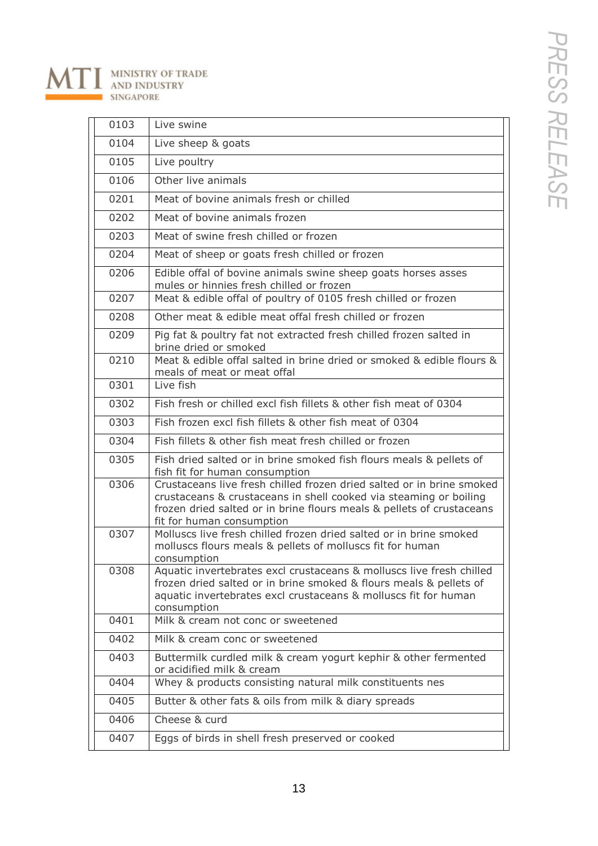

| 0103 | Live swine                                                                                                                                                                                                                                       |
|------|--------------------------------------------------------------------------------------------------------------------------------------------------------------------------------------------------------------------------------------------------|
| 0104 | Live sheep & goats                                                                                                                                                                                                                               |
| 0105 | Live poultry                                                                                                                                                                                                                                     |
| 0106 | Other live animals                                                                                                                                                                                                                               |
| 0201 | Meat of bovine animals fresh or chilled                                                                                                                                                                                                          |
| 0202 | Meat of bovine animals frozen                                                                                                                                                                                                                    |
| 0203 | Meat of swine fresh chilled or frozen                                                                                                                                                                                                            |
| 0204 | Meat of sheep or goats fresh chilled or frozen                                                                                                                                                                                                   |
| 0206 | Edible offal of bovine animals swine sheep goats horses asses<br>mules or hinnies fresh chilled or frozen                                                                                                                                        |
| 0207 | Meat & edible offal of poultry of 0105 fresh chilled or frozen                                                                                                                                                                                   |
| 0208 | Other meat & edible meat offal fresh chilled or frozen                                                                                                                                                                                           |
| 0209 | Pig fat & poultry fat not extracted fresh chilled frozen salted in<br>brine dried or smoked                                                                                                                                                      |
| 0210 | Meat & edible offal salted in brine dried or smoked & edible flours &<br>meals of meat or meat offal                                                                                                                                             |
| 0301 | Live fish                                                                                                                                                                                                                                        |
| 0302 | Fish fresh or chilled excl fish fillets & other fish meat of 0304                                                                                                                                                                                |
| 0303 | Fish frozen excl fish fillets & other fish meat of 0304                                                                                                                                                                                          |
| 0304 | Fish fillets & other fish meat fresh chilled or frozen                                                                                                                                                                                           |
| 0305 | Fish dried salted or in brine smoked fish flours meals & pellets of<br>fish fit for human consumption                                                                                                                                            |
| 0306 | Crustaceans live fresh chilled frozen dried salted or in brine smoked<br>crustaceans & crustaceans in shell cooked via steaming or boiling<br>frozen dried salted or in brine flours meals & pellets of crustaceans<br>fit for human consumption |
| 0307 | Molluscs live fresh chilled frozen dried salted or in brine smoked<br>molluscs flours meals & pellets of molluscs fit for human<br>consumption                                                                                                   |
| 0308 | Aquatic invertebrates excl crustaceans & molluscs live fresh chilled<br>frozen dried salted or in brine smoked & flours meals & pellets of<br>aquatic invertebrates excl crustaceans & molluscs fit for human<br>consumption                     |
| 0401 | Milk & cream not conc or sweetened                                                                                                                                                                                                               |
| 0402 | Milk & cream conc or sweetened                                                                                                                                                                                                                   |
| 0403 | Buttermilk curdled milk & cream yogurt kephir & other fermented<br>or acidified milk & cream                                                                                                                                                     |
| 0404 | Whey & products consisting natural milk constituents nes                                                                                                                                                                                         |
| 0405 | Butter & other fats & oils from milk & diary spreads                                                                                                                                                                                             |
| 0406 | Cheese & curd                                                                                                                                                                                                                                    |
| 0407 | Eggs of birds in shell fresh preserved or cooked                                                                                                                                                                                                 |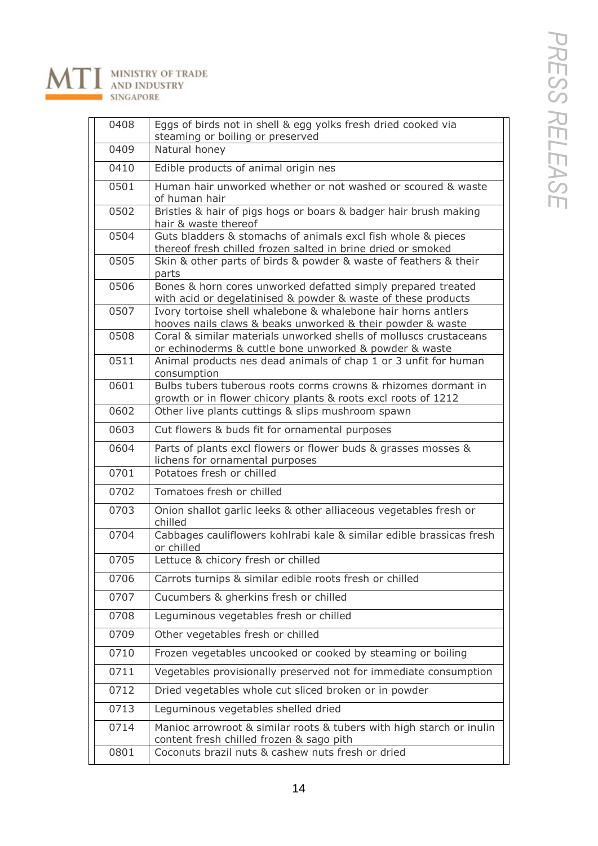

### MINISTRY OF TRADE<br>AND INDUSTRY  $\Lambda$ SINGAPORE

| 0408 | Eggs of birds not in shell & egg yolks fresh dried cooked via<br>steaming or boiling or preserved                               |
|------|---------------------------------------------------------------------------------------------------------------------------------|
| 0409 | Natural honey                                                                                                                   |
| 0410 | Edible products of animal origin nes                                                                                            |
| 0501 | Human hair unworked whether or not washed or scoured & waste<br>of human hair                                                   |
| 0502 | Bristles & hair of pigs hogs or boars & badger hair brush making<br>hair & waste thereof                                        |
| 0504 | Guts bladders & stomachs of animals excl fish whole & pieces<br>thereof fresh chilled frozen salted in brine dried or smoked    |
| 0505 | Skin & other parts of birds & powder & waste of feathers & their<br>parts                                                       |
| 0506 | Bones & horn cores unworked defatted simply prepared treated<br>with acid or degelatinised & powder & waste of these products   |
| 0507 | Ivory tortoise shell whalebone & whalebone hair horns antlers<br>hooves nails claws & beaks unworked & their powder & waste     |
| 0508 | Coral & similar materials unworked shells of molluscs crustaceans<br>or echinoderms & cuttle bone unworked & powder & waste     |
| 0511 | Animal products nes dead animals of chap 1 or 3 unfit for human<br>consumption                                                  |
| 0601 | Bulbs tubers tuberous roots corms crowns & rhizomes dormant in<br>growth or in flower chicory plants & roots excl roots of 1212 |
| 0602 | Other live plants cuttings & slips mushroom spawn                                                                               |
| 0603 | Cut flowers & buds fit for ornamental purposes                                                                                  |
| 0604 | Parts of plants excl flowers or flower buds & grasses mosses &<br>lichens for ornamental purposes                               |
| 0701 | Potatoes fresh or chilled                                                                                                       |
| 0702 | Tomatoes fresh or chilled                                                                                                       |
| 0703 | Onion shallot garlic leeks & other alliaceous vegetables fresh or<br>chilled                                                    |
| 0704 | Cabbages cauliflowers kohlrabi kale & similar edible brassicas fresh<br>or chilled                                              |
| 0705 | Lettuce & chicory fresh or chilled                                                                                              |
| 0706 | Carrots turnips & similar edible roots fresh or chilled                                                                         |
| 0707 | Cucumbers & gherkins fresh or chilled                                                                                           |
| 0708 | Leguminous vegetables fresh or chilled                                                                                          |
| 0709 | Other vegetables fresh or chilled                                                                                               |
| 0710 | Frozen vegetables uncooked or cooked by steaming or boiling                                                                     |
| 0711 | Vegetables provisionally preserved not for immediate consumption                                                                |
| 0712 | Dried vegetables whole cut sliced broken or in powder                                                                           |
| 0713 | Leguminous vegetables shelled dried                                                                                             |
| 0714 | Manioc arrowroot & similar roots & tubers with high starch or inulin<br>content fresh chilled frozen & sago pith                |
| 0801 | Coconuts brazil nuts & cashew nuts fresh or dried                                                                               |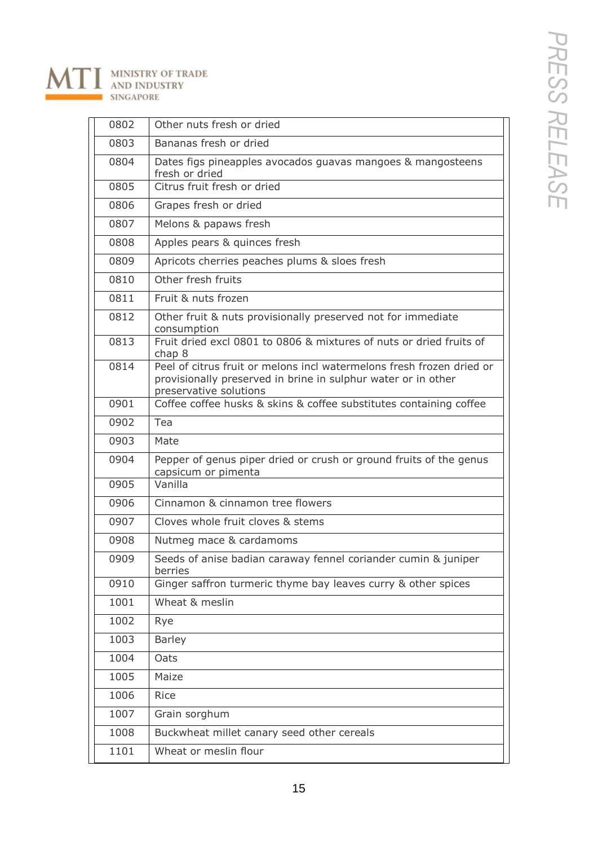### MINISTRY OF TRADE<br>AND INDUSTRY  $\Lambda$ SINGAPORE

| 0802 | Other nuts fresh or dried                                                                                                                                        |
|------|------------------------------------------------------------------------------------------------------------------------------------------------------------------|
| 0803 | Bananas fresh or dried                                                                                                                                           |
| 0804 | Dates figs pineapples avocados guavas mangoes & mangosteens<br>fresh or dried                                                                                    |
| 0805 | Citrus fruit fresh or dried                                                                                                                                      |
| 0806 | Grapes fresh or dried                                                                                                                                            |
| 0807 | Melons & papaws fresh                                                                                                                                            |
| 0808 | Apples pears & quinces fresh                                                                                                                                     |
| 0809 | Apricots cherries peaches plums & sloes fresh                                                                                                                    |
| 0810 | Other fresh fruits                                                                                                                                               |
| 0811 | Fruit & nuts frozen                                                                                                                                              |
| 0812 | Other fruit & nuts provisionally preserved not for immediate<br>consumption                                                                                      |
| 0813 | Fruit dried excl 0801 to 0806 & mixtures of nuts or dried fruits of<br>chap 8                                                                                    |
| 0814 | Peel of citrus fruit or melons incl watermelons fresh frozen dried or<br>provisionally preserved in brine in sulphur water or in other<br>preservative solutions |
| 0901 | Coffee coffee husks & skins & coffee substitutes containing coffee                                                                                               |
| 0902 | Tea                                                                                                                                                              |
| 0903 | Mate                                                                                                                                                             |
| 0904 | Pepper of genus piper dried or crush or ground fruits of the genus<br>capsicum or pimenta                                                                        |
| 0905 | Vanilla                                                                                                                                                          |
| 0906 | Cinnamon & cinnamon tree flowers                                                                                                                                 |
| 0907 | Cloves whole fruit cloves & stems                                                                                                                                |
| 0908 | Nutmeg mace & cardamoms                                                                                                                                          |
| 0909 | Seeds of anise badian caraway fennel coriander cumin & juniper<br>berries                                                                                        |
| 0910 | Ginger saffron turmeric thyme bay leaves curry & other spices                                                                                                    |
| 1001 | Wheat & meslin                                                                                                                                                   |
| 1002 | Rye                                                                                                                                                              |
| 1003 | <b>Barley</b>                                                                                                                                                    |
| 1004 | Oats                                                                                                                                                             |
| 1005 | Maize                                                                                                                                                            |
| 1006 | Rice                                                                                                                                                             |
| 1007 | Grain sorghum                                                                                                                                                    |
| 1008 | Buckwheat millet canary seed other cereals                                                                                                                       |
| 1101 | Wheat or meslin flour                                                                                                                                            |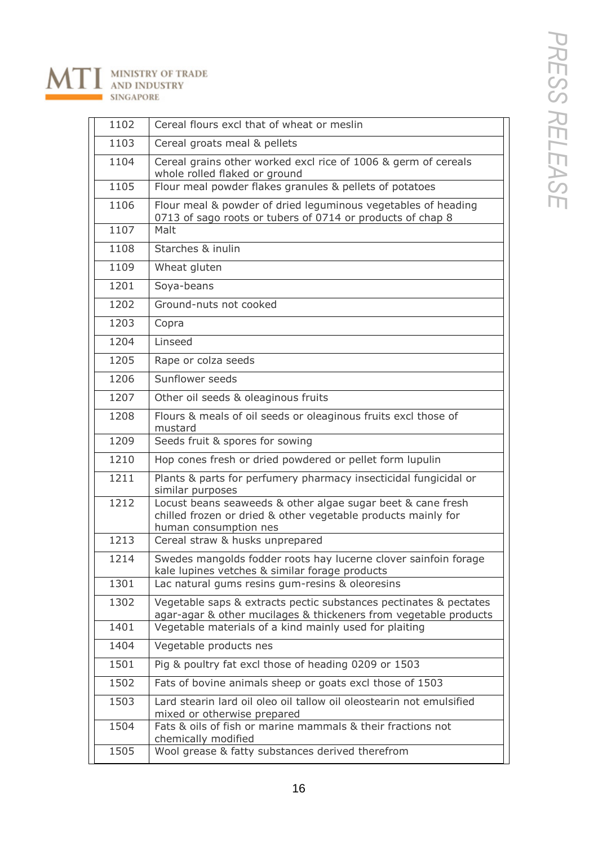### MINISTRY OF TRADE<br>AND INDUSTRY N **SINGAPORE**

| 1102 | Cereal flours excl that of wheat or meslin                                                                                                            |
|------|-------------------------------------------------------------------------------------------------------------------------------------------------------|
| 1103 | Cereal groats meal & pellets                                                                                                                          |
| 1104 | Cereal grains other worked excl rice of 1006 & germ of cereals<br>whole rolled flaked or ground                                                       |
| 1105 | Flour meal powder flakes granules $\overline{\mathcal{R}}$ pellets of potatoes                                                                        |
| 1106 | Flour meal & powder of dried leguminous vegetables of heading<br>0713 of sago roots or tubers of 0714 or products of chap 8                           |
| 1107 | Malt                                                                                                                                                  |
| 1108 | Starches & inulin                                                                                                                                     |
| 1109 | Wheat gluten                                                                                                                                          |
| 1201 | Soya-beans                                                                                                                                            |
| 1202 | Ground-nuts not cooked                                                                                                                                |
| 1203 | Copra                                                                                                                                                 |
| 1204 | Linseed                                                                                                                                               |
| 1205 | Rape or colza seeds                                                                                                                                   |
| 1206 | Sunflower seeds                                                                                                                                       |
| 1207 | Other oil seeds & oleaginous fruits                                                                                                                   |
| 1208 | Flours & meals of oil seeds or oleaginous fruits excl those of<br>mustard                                                                             |
| 1209 | Seeds fruit & spores for sowing                                                                                                                       |
| 1210 | Hop cones fresh or dried powdered or pellet form lupulin                                                                                              |
| 1211 | Plants & parts for perfumery pharmacy insecticidal fungicidal or<br>similar purposes                                                                  |
| 1212 | Locust beans seaweeds & other algae sugar beet & cane fresh<br>chilled frozen or dried & other vegetable products mainly for<br>human consumption nes |
| 1213 | Cereal straw & husks unprepared                                                                                                                       |
| 1214 | Swedes mangolds fodder roots hay lucerne clover sainfoin forage<br>kale lupines vetches & similar forage products                                     |
| 1301 | Lac natural gums resins gum-resins & oleoresins                                                                                                       |
| 1302 | Vegetable saps & extracts pectic substances pectinates & pectates<br>agar-agar & other mucilages & thickeners from vegetable products                 |
| 1401 | Vegetable materials of a kind mainly used for plaiting                                                                                                |
| 1404 | Vegetable products nes                                                                                                                                |
| 1501 | Pig & poultry fat excl those of heading 0209 or 1503                                                                                                  |
| 1502 | Fats of bovine animals sheep or goats excl those of 1503                                                                                              |
| 1503 | Lard stearin lard oil oleo oil tallow oil oleostearin not emulsified<br>mixed or otherwise prepared                                                   |
| 1504 | Fats & oils of fish or marine mammals & their fractions not<br>chemically modified                                                                    |
| 1505 | Wool grease & fatty substances derived therefrom                                                                                                      |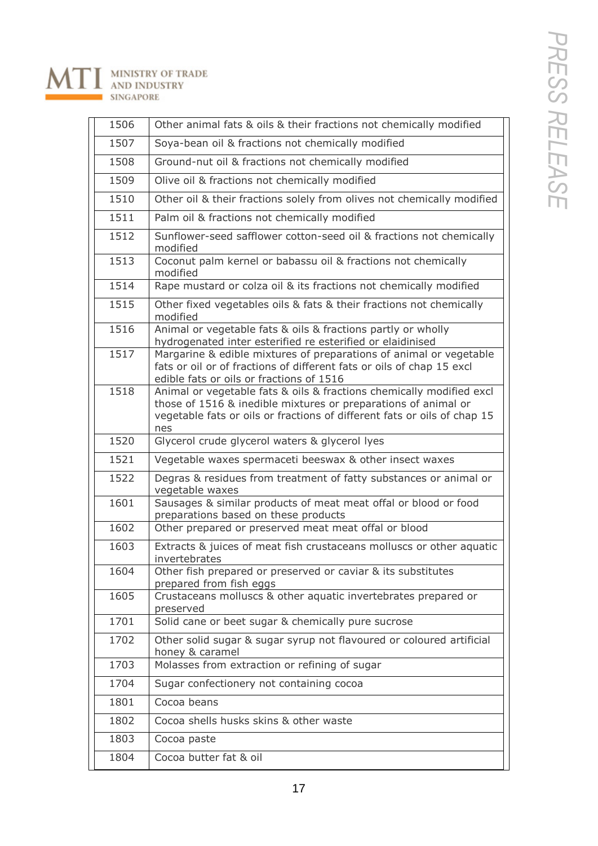# MINISTRY OF TRADE<br>AND INDUSTRY<br>SINGAPORE  $\Lambda$

| 1506 | Other animal fats & oils & their fractions not chemically modified                                                                                                                                                        |
|------|---------------------------------------------------------------------------------------------------------------------------------------------------------------------------------------------------------------------------|
| 1507 | Soya-bean oil & fractions not chemically modified                                                                                                                                                                         |
| 1508 | Ground-nut oil & fractions not chemically modified                                                                                                                                                                        |
| 1509 | Olive oil & fractions not chemically modified                                                                                                                                                                             |
| 1510 | Other oil & their fractions solely from olives not chemically modified                                                                                                                                                    |
| 1511 | Palm oil & fractions not chemically modified                                                                                                                                                                              |
| 1512 | Sunflower-seed safflower cotton-seed oil & fractions not chemically<br>modified                                                                                                                                           |
| 1513 | Coconut palm kernel or babassu oil & fractions not chemically<br>modified                                                                                                                                                 |
| 1514 | Rape mustard or colza oil & its fractions not chemically modified                                                                                                                                                         |
| 1515 | Other fixed vegetables oils & fats & their fractions not chemically<br>modified                                                                                                                                           |
| 1516 | Animal or vegetable fats & oils & fractions partly or wholly<br>hydrogenated inter esterified re esterified or elaidinised                                                                                                |
| 1517 | Margarine & edible mixtures of preparations of animal or vegetable<br>fats or oil or of fractions of different fats or oils of chap 15 excl<br>edible fats or oils or fractions of 1516                                   |
| 1518 | Animal or vegetable fats & oils & fractions chemically modified excl<br>those of 1516 & inedible mixtures or preparations of animal or<br>vegetable fats or oils or fractions of different fats or oils of chap 15<br>nes |
| 1520 | Glycerol crude glycerol waters & glycerol lyes                                                                                                                                                                            |
| 1521 | Vegetable waxes spermaceti beeswax & other insect waxes                                                                                                                                                                   |
| 1522 | Degras & residues from treatment of fatty substances or animal or<br>vegetable waxes                                                                                                                                      |
| 1601 | Sausages & similar products of meat meat offal or blood or food<br>preparations based on these products                                                                                                                   |
| 1602 | Other prepared or preserved meat meat offal or blood                                                                                                                                                                      |
| 1603 | Extracts & juices of meat fish crustaceans molluscs or other aquatic<br>invertebrates                                                                                                                                     |
| 1604 | Other fish prepared or preserved or caviar & its substitutes<br>prepared from fish eggs                                                                                                                                   |
| 1605 | Crustaceans molluscs & other aquatic invertebrates prepared or<br>preserved                                                                                                                                               |
| 1701 | Solid cane or beet sugar & chemically pure sucrose                                                                                                                                                                        |
| 1702 | Other solid sugar & sugar syrup not flavoured or coloured artificial<br>honey & caramel                                                                                                                                   |
| 1703 | Molasses from extraction or refining of sugar                                                                                                                                                                             |
| 1704 | Sugar confectionery not containing cocoa                                                                                                                                                                                  |
| 1801 | Cocoa beans                                                                                                                                                                                                               |
| 1802 | Cocoa shells husks skins & other waste                                                                                                                                                                                    |
| 1803 | Cocoa paste                                                                                                                                                                                                               |
| 1804 | Cocoa butter fat & oil                                                                                                                                                                                                    |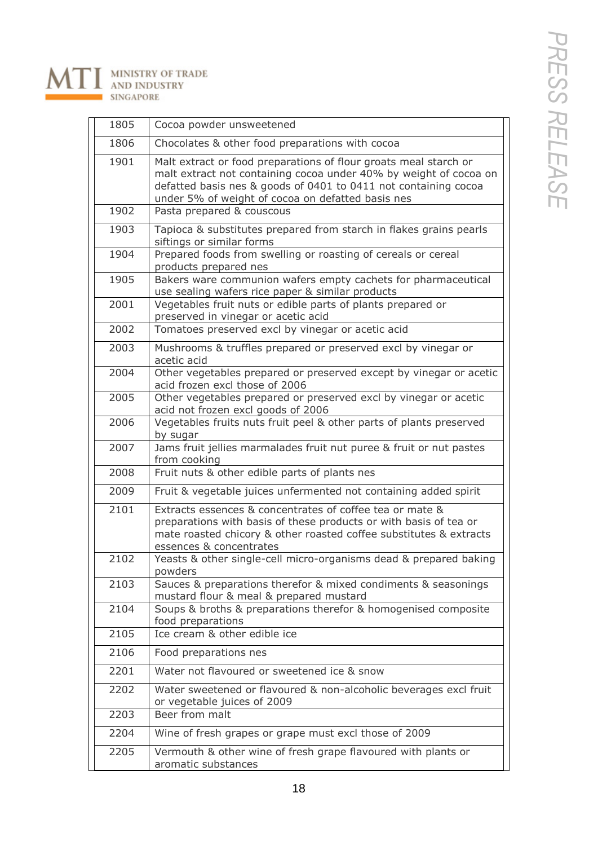

| 1805 | Cocoa powder unsweetened                                                                                                                                                                                                                                      |
|------|---------------------------------------------------------------------------------------------------------------------------------------------------------------------------------------------------------------------------------------------------------------|
| 1806 | Chocolates & other food preparations with cocoa                                                                                                                                                                                                               |
| 1901 | Malt extract or food preparations of flour groats meal starch or<br>malt extract not containing cocoa under 40% by weight of cocoa on<br>defatted basis nes & goods of 0401 to 0411 not containing cocoa<br>under 5% of weight of cocoa on defatted basis nes |
| 1902 | Pasta prepared & couscous                                                                                                                                                                                                                                     |
| 1903 | Tapioca & substitutes prepared from starch in flakes grains pearls<br>siftings or similar forms                                                                                                                                                               |
| 1904 | Prepared foods from swelling or roasting of cereals or cereal<br>products prepared nes                                                                                                                                                                        |
| 1905 | Bakers ware communion wafers empty cachets for pharmaceutical<br>use sealing wafers rice paper & similar products                                                                                                                                             |
| 2001 | Vegetables fruit nuts or edible parts of plants prepared or<br>preserved in vinegar or acetic acid                                                                                                                                                            |
| 2002 | Tomatoes preserved excl by vinegar or acetic acid                                                                                                                                                                                                             |
| 2003 | Mushrooms & truffles prepared or preserved excl by vinegar or<br>acetic acid                                                                                                                                                                                  |
| 2004 | Other vegetables prepared or preserved except by vinegar or acetic<br>acid frozen excl those of 2006                                                                                                                                                          |
| 2005 | Other vegetables prepared or preserved excl by vinegar or acetic<br>acid not frozen excl goods of 2006                                                                                                                                                        |
| 2006 | Vegetables fruits nuts fruit peel & other parts of plants preserved<br>by sugar                                                                                                                                                                               |
| 2007 | Jams fruit jellies marmalades fruit nut puree & fruit or nut pastes<br>from cooking                                                                                                                                                                           |
| 2008 | Fruit nuts & other edible parts of plants nes                                                                                                                                                                                                                 |
| 2009 | Fruit & vegetable juices unfermented not containing added spirit                                                                                                                                                                                              |
| 2101 | Extracts essences & concentrates of coffee tea or mate &<br>preparations with basis of these products or with basis of tea or<br>mate roasted chicory & other roasted coffee substitutes & extracts<br>essences & concentrates                                |
| 2102 | Yeasts & other single-cell micro-organisms dead & prepared baking<br>powders                                                                                                                                                                                  |
| 2103 | Sauces & preparations therefor & mixed condiments & seasonings<br>mustard flour & meal & prepared mustard                                                                                                                                                     |
| 2104 | Soups & broths & preparations therefor & homogenised composite<br>food preparations                                                                                                                                                                           |
| 2105 | Ice cream & other edible ice                                                                                                                                                                                                                                  |
| 2106 | Food preparations nes                                                                                                                                                                                                                                         |
| 2201 | Water not flavoured or sweetened ice & snow                                                                                                                                                                                                                   |
| 2202 | Water sweetened or flavoured & non-alcoholic beverages excl fruit<br>or vegetable juices of 2009                                                                                                                                                              |
| 2203 | Beer from malt                                                                                                                                                                                                                                                |
| 2204 | Wine of fresh grapes or grape must excl those of 2009                                                                                                                                                                                                         |
| 2205 | Vermouth & other wine of fresh grape flavoured with plants or<br>aromatic substances                                                                                                                                                                          |